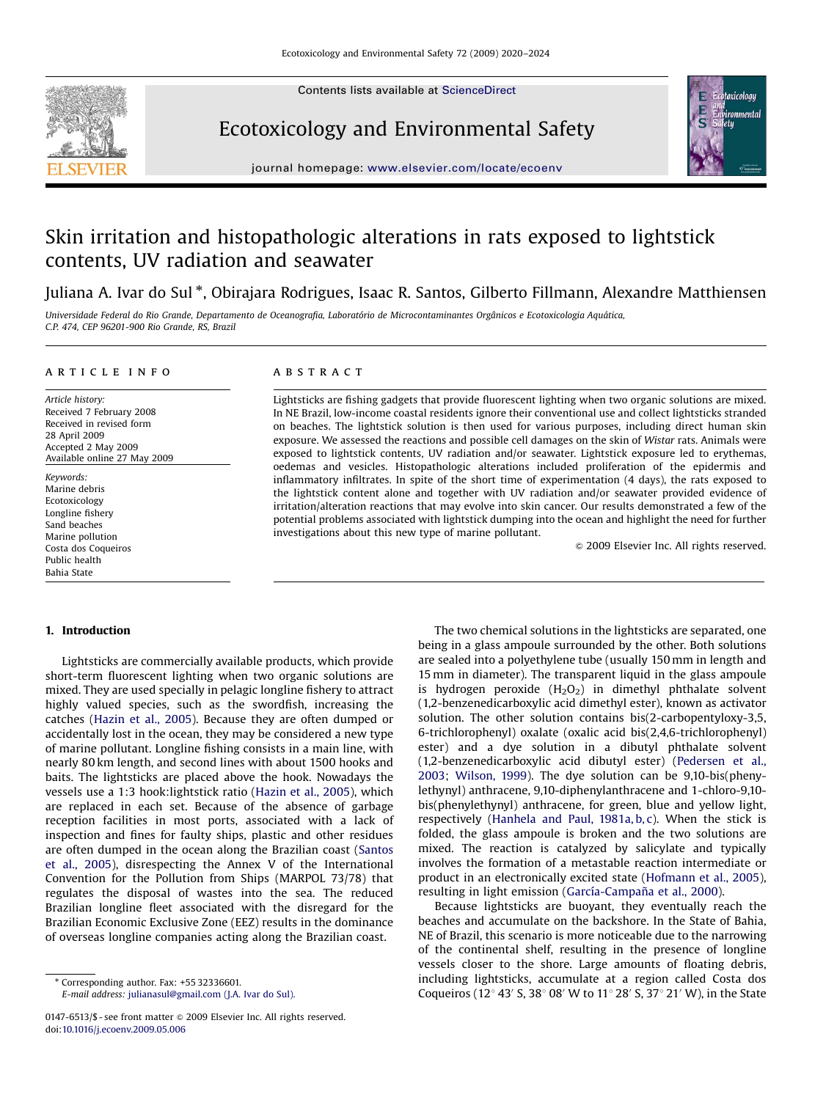Contents lists available at [ScienceDirect](www.sciencedirect.com/science/journal/yeesa)



Ecotoxicology and Environmental Safety



journal homepage: <www.elsevier.com/locate/ecoenv>

# Skin irritation and histopathologic alterations in rats exposed to lightstick contents, UV radiation and seawater

Juliana A. Ivar do Sul \*, Obirajara Rodrigues, Isaac R. Santos, Gilberto Fillmann, Alexandre Matthiensen

Universidade Federal do Rio Grande, Departamento de Oceanografia, Laboratório de Microcontaminantes Orgânicos e Ecotoxicologia Aquática, C.P. 474, CEP 96201-900 Rio Grande, RS, Brazil

## article info

Article history: Received 7 February 2008 Received in revised form 28 April 2009 Accepted 2 May 2009 Available online 27 May 2009

Keywords: Marine debris Ecotoxicology Longline fishery Sand beaches Marine pollution Costa dos Coqueiros Public health Bahia State

## **ABSTRACT**

Lightsticks are fishing gadgets that provide fluorescent lighting when two organic solutions are mixed. In NE Brazil, low-income coastal residents ignore their conventional use and collect lightsticks stranded on beaches. The lightstick solution is then used for various purposes, including direct human skin exposure. We assessed the reactions and possible cell damages on the skin of Wistar rats. Animals were exposed to lightstick contents, UV radiation and/or seawater. Lightstick exposure led to erythemas, oedemas and vesicles. Histopathologic alterations included proliferation of the epidermis and inflammatory infiltrates. In spite of the short time of experimentation (4 days), the rats exposed to the lightstick content alone and together with UV radiation and/or seawater provided evidence of irritation/alteration reactions that may evolve into skin cancer. Our results demonstrated a few of the potential problems associated with lightstick dumping into the ocean and highlight the need for further investigations about this new type of marine pollutant.

& 2009 Elsevier Inc. All rights reserved.

# 1. Introduction

Lightsticks are commercially available products, which provide short-term fluorescent lighting when two organic solutions are mixed. They are used specially in pelagic longline fishery to attract highly valued species, such as the swordfish, increasing the catches ([Hazin et al., 2005](#page-4-0)). Because they are often dumped or accidentally lost in the ocean, they may be considered a new type of marine pollutant. Longline fishing consists in a main line, with nearly 80 km length, and second lines with about 1500 hooks and baits. The lightsticks are placed above the hook. Nowadays the vessels use a 1:3 hook:lightstick ratio [\(Hazin et al., 2005\)](#page-4-0), which are replaced in each set. Because of the absence of garbage reception facilities in most ports, associated with a lack of inspection and fines for faulty ships, plastic and other residues are often dumped in the ocean along the Brazilian coast ([Santos](#page-4-0) [et al., 2005\)](#page-4-0), disrespecting the Annex V of the International Convention for the Pollution from Ships (MARPOL 73/78) that regulates the disposal of wastes into the sea. The reduced Brazilian longline fleet associated with the disregard for the Brazilian Economic Exclusive Zone (EEZ) results in the dominance of overseas longline companies acting along the Brazilian coast.

E-mail address: [julianasul@gmail.com \(J.A. Ivar do Sul\).](mailto:julianasul@gmail.com)

The two chemical solutions in the lightsticks are separated, one being in a glass ampoule surrounded by the other. Both solutions are sealed into a polyethylene tube (usually 150 mm in length and 15 mm in diameter). The transparent liquid in the glass ampoule is hydrogen peroxide  $(H<sub>2</sub>O<sub>2</sub>)$  in dimethyl phthalate solvent (1,2-benzenedicarboxylic acid dimethyl ester), known as activator solution. The other solution contains bis(2-carbopentyloxy-3,5, 6-trichlorophenyl) oxalate (oxalic acid bis(2,4,6-trichlorophenyl) ester) and a dye solution in a dibutyl phthalate solvent (1,2-benzenedicarboxylic acid dibutyl ester) [\(Pedersen et al.,](#page-4-0) [2003](#page-4-0); [Wilson, 1999](#page-4-0)). The dye solution can be 9,10-bis(phenylethynyl) anthracene, 9,10-diphenylanthracene and 1-chloro-9,10 bis(phenylethynyl) anthracene, for green, blue and yellow light, respectively ([Hanhela and Paul, 1981a, b, c](#page-4-0)). When the stick is folded, the glass ampoule is broken and the two solutions are mixed. The reaction is catalyzed by salicylate and typically involves the formation of a metastable reaction intermediate or product in an electronically excited state ([Hofmann et al., 2005\)](#page-4-0), resulting in light emission (García-Campaña et al., 2000).

Because lightsticks are buoyant, they eventually reach the beaches and accumulate on the backshore. In the State of Bahia, NE of Brazil, this scenario is more noticeable due to the narrowing of the continental shelf, resulting in the presence of longline vessels closer to the shore. Large amounts of floating debris, including lightsticks, accumulate at a region called Costa dos Coqueiros (12 $\degree$  43' S, 38 $\degree$  08' W to 11 $\degree$  28' S, 37 $\degree$  21' W), in the State

<sup>-</sup> Corresponding author. Fax: +55 32336601.

<sup>0147-6513/\$ -</sup> see front matter @ 2009 Elsevier Inc. All rights reserved. doi:[10.1016/j.ecoenv.2009.05.006](dx.doi.org/10.1016/j.ecoenv.2009.05.006)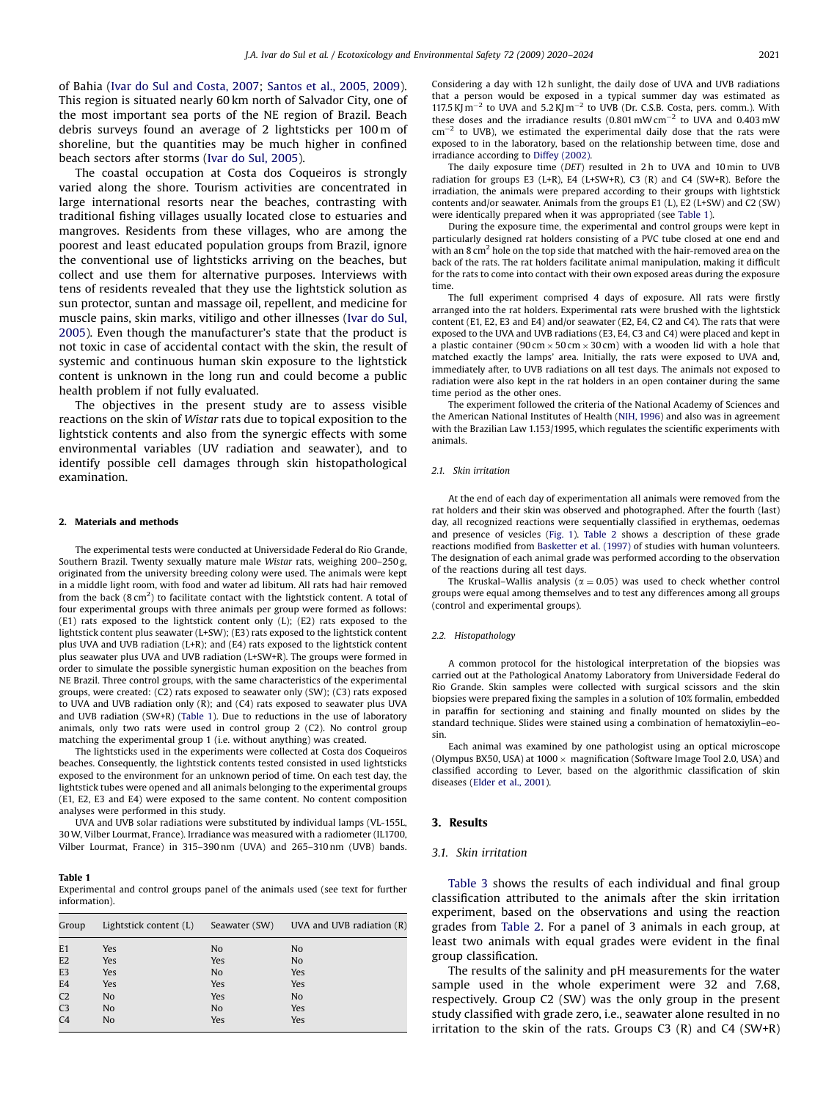<span id="page-1-0"></span>of Bahia [\(Ivar do Sul and Costa, 2007](#page-4-0); [Santos et al., 2005, 2009\)](#page-4-0). This region is situated nearly 60 km north of Salvador City, one of the most important sea ports of the NE region of Brazil. Beach debris surveys found an average of 2 lightsticks per 100 m of shoreline, but the quantities may be much higher in confined beach sectors after storms ([Ivar do Sul, 2005](#page-4-0)).

The coastal occupation at Costa dos Coqueiros is strongly varied along the shore. Tourism activities are concentrated in large international resorts near the beaches, contrasting with traditional fishing villages usually located close to estuaries and mangroves. Residents from these villages, who are among the poorest and least educated population groups from Brazil, ignore the conventional use of lightsticks arriving on the beaches, but collect and use them for alternative purposes. Interviews with tens of residents revealed that they use the lightstick solution as sun protector, suntan and massage oil, repellent, and medicine for muscle pains, skin marks, vitiligo and other illnesses ([Ivar do Sul,](#page-4-0) [2005\)](#page-4-0). Even though the manufacturer's state that the product is not toxic in case of accidental contact with the skin, the result of systemic and continuous human skin exposure to the lightstick content is unknown in the long run and could become a public health problem if not fully evaluated.

The objectives in the present study are to assess visible reactions on the skin of Wistar rats due to topical exposition to the lightstick contents and also from the synergic effects with some environmental variables (UV radiation and seawater), and to identify possible cell damages through skin histopathological examination.

#### 2. Materials and methods

The experimental tests were conducted at Universidade Federal do Rio Grande, Southern Brazil. Twenty sexually mature male Wistar rats, weighing 200–250 g, originated from the university breeding colony were used. The animals were kept in a middle light room, with food and water ad libitum. All rats had hair removed from the back (8 cm<sup>2</sup>) to facilitate contact with the lightstick content. A total of four experimental groups with three animals per group were formed as follows: (E1) rats exposed to the lightstick content only (L); (E2) rats exposed to the lightstick content plus seawater (L+SW); (E3) rats exposed to the lightstick content plus UVA and UVB radiation (L+R); and (E4) rats exposed to the lightstick content plus seawater plus UVA and UVB radiation (L+SW+R). The groups were formed in order to simulate the possible synergistic human exposition on the beaches from NE Brazil. Three control groups, with the same characteristics of the experimental groups, were created: (C2) rats exposed to seawater only (SW); (C3) rats exposed to UVA and UVB radiation only (R); and (C4) rats exposed to seawater plus UVA and UVB radiation  $(SW+R)$  (Table 1). Due to reductions in the use of laboratory animals, only two rats were used in control group 2 (C2). No control group matching the experimental group 1 (i.e. without anything) was created.

The lightsticks used in the experiments were collected at Costa dos Coqueiros beaches. Consequently, the lightstick contents tested consisted in used lightsticks exposed to the environment for an unknown period of time. On each test day, the lightstick tubes were opened and all animals belonging to the experimental groups (E1, E2, E3 and E4) were exposed to the same content. No content composition analyses were performed in this study.

UVA and UVB solar radiations were substituted by individual lamps (VL-155L, 30W, Vilber Lourmat, France). Irradiance was measured with a radiometer (IL1700, Vilber Lourmat, France) in 315–390 nm (UVA) and 265–310 nm (UVB) bands.

#### Table 1

Experimental and control groups panel of the animals used (see text for further information).

| Group          | Lightstick content (L) | Seawater (SW)  | UVA and UVB radiation $(R)$ |
|----------------|------------------------|----------------|-----------------------------|
| E1             | <b>Yes</b>             | N <sub>o</sub> | N <sub>o</sub>              |
| E <sub>2</sub> | <b>Yes</b>             | Yes            | N <sub>o</sub>              |
| E <sub>3</sub> | <b>Yes</b>             | N <sub>o</sub> | Yes                         |
| E4             | Yes                    | Yes            | Yes                         |
| C <sub>2</sub> | N <sub>o</sub>         | Yes            | N <sub>o</sub>              |
| C <sub>3</sub> | N <sub>o</sub>         | N <sub>o</sub> | Yes                         |
| C <sub>4</sub> | N <sub>o</sub>         | Yes            | Yes                         |

Considering a day with 12 h sunlight, the daily dose of UVA and UVB radiations that a person would be exposed in a typical summer day was estimated as 117.5 KJ  $m^{-2}$  to UVA and 5.2 KJ  $m^{-2}$  to UVB (Dr. C.S.B. Costa, pers. comm.). With these doses and the irradiance results  $(0.801 \text{ mW cm}^{-2}$  to UVA and 0.403 mW  $cm^{-2}$  to UVB), we estimated the experimental daily dose that the rats were exposed to in the laboratory, based on the relationship between time, dose and irradiance according to [Diffey \(2002\).](#page-3-0)

The daily exposure time (DET) resulted in 2 h to UVA and 10 min to UVB radiation for groups E3 (L+R), E4 (L+SW+R), C3 (R) and C4 (SW+R). Before the irradiation, the animals were prepared according to their groups with lightstick contents and/or seawater. Animals from the groups E1 (L), E2 (L+SW) and C2 (SW) were identically prepared when it was appropriated (see Table 1).

During the exposure time, the experimental and control groups were kept in particularly designed rat holders consisting of a PVC tube closed at one end and with an 8 cm<sup>2</sup> hole on the top side that matched with the hair-removed area on the back of the rats. The rat holders facilitate animal manipulation, making it difficult for the rats to come into contact with their own exposed areas during the exposure time.

The full experiment comprised 4 days of exposure. All rats were firstly arranged into the rat holders. Experimental rats were brushed with the lightstick content (E1, E2, E3 and E4) and/or seawater (E2, E4, C2 and C4). The rats that were exposed to the UVA and UVB radiations (E3, E4, C3 and C4) were placed and kept in a plastic container (90 cm  $\times$  50 cm  $\times$  30 cm) with a wooden lid with a hole that matched exactly the lamps' area. Initially, the rats were exposed to UVA and, immediately after, to UVB radiations on all test days. The animals not exposed to radiation were also kept in the rat holders in an open container during the same time period as the other ones.

The experiment followed the criteria of the National Academy of Sciences and the American National Institutes of Health [\(NIH, 1996](#page-4-0)) and also was in agreement with the Brazilian Law 1.153/1995, which regulates the scientific experiments with animals.

#### 2.1. Skin irritation

At the end of each day of experimentation all animals were removed from the rat holders and their skin was observed and photographed. After the fourth (last) day, all recognized reactions were sequentially classified in erythemas, oedemas and presence of vesicles [\(Fig. 1\)](#page-2-0). [Table 2](#page-2-0) shows a description of these grade reactions modified from [Basketter et al. \(1997\)](#page-3-0) of studies with human volunteers. The designation of each animal grade was performed according to the observation of the reactions during all test days.

The Kruskal–Wallis analysis ( $\alpha = 0.05$ ) was used to check whether control groups were equal among themselves and to test any differences among all groups (control and experimental groups).

#### 2.2. Histopathology

A common protocol for the histological interpretation of the biopsies was carried out at the Pathological Anatomy Laboratory from Universidade Federal do Rio Grande. Skin samples were collected with surgical scissors and the skin biopsies were prepared fixing the samples in a solution of 10% formalin, embedded in paraffin for sectioning and staining and finally mounted on slides by the standard technique. Slides were stained using a combination of hematoxiylin–eosin.

Each animal was examined by one pathologist using an optical microscope (Olympus BX50, USA) at 1000  $\times$  magnification (Software Image Tool 2.0, USA) and classified according to Lever, based on the algorithmic classification of skin diseases [\(Elder et al., 2001\)](#page-4-0).

### 3. Results

#### 3.1. Skin irritation

[Table 3](#page-2-0) shows the results of each individual and final group classification attributed to the animals after the skin irritation experiment, based on the observations and using the reaction grades from [Table 2](#page-2-0). For a panel of 3 animals in each group, at least two animals with equal grades were evident in the final group classification.

The results of the salinity and pH measurements for the water sample used in the whole experiment were 32 and 7.68, respectively. Group C2 (SW) was the only group in the present study classified with grade zero, i.e., seawater alone resulted in no irritation to the skin of the rats. Groups  $C3$  (R) and  $C4$  (SW+R)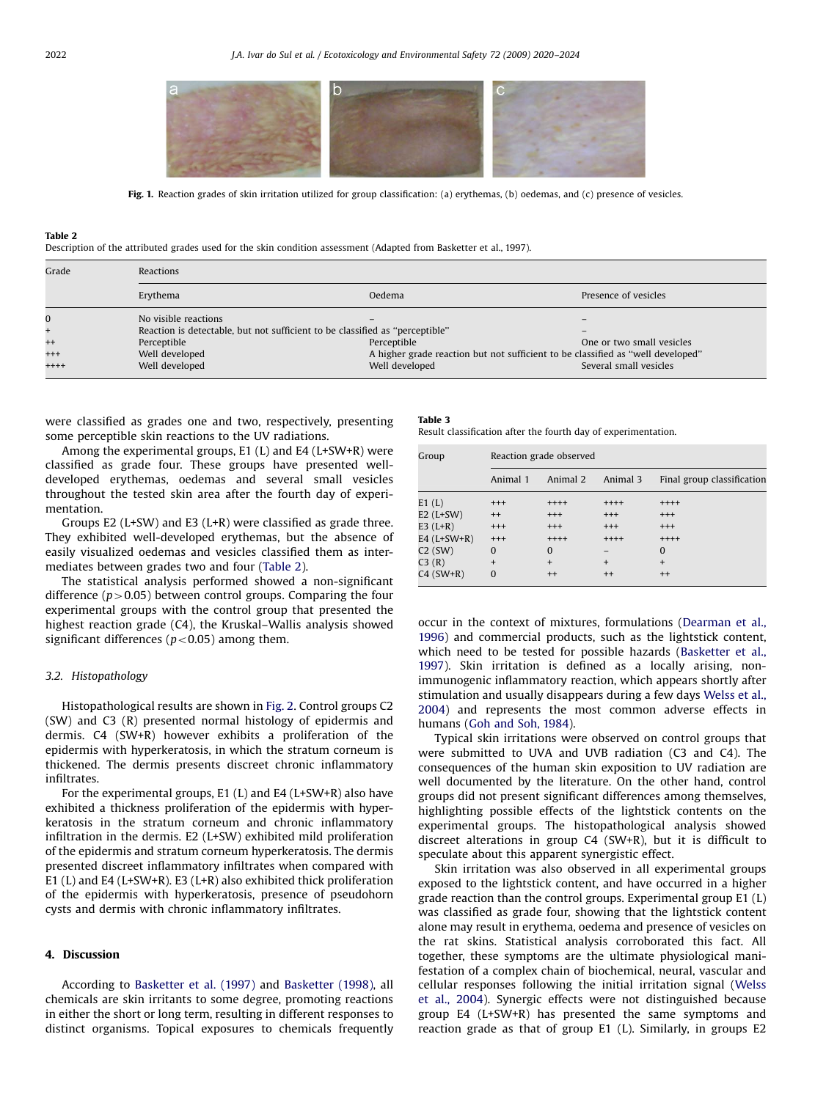<span id="page-2-0"></span>

Fig. 1. Reaction grades of skin irritation utilized for group classification: (a) erythemas, (b) oedemas, and (c) presence of vesicles.

#### Table 2

Description of the attributed grades used for the skin condition assessment (Adapted from [Basketter et al., 1997](#page-3-0)).

| Grade    | Reactions                                                                    |                                                                                 |                           |  |  |
|----------|------------------------------------------------------------------------------|---------------------------------------------------------------------------------|---------------------------|--|--|
|          | Erythema                                                                     | Oedema                                                                          | Presence of vesicles      |  |  |
| 0        | No visible reactions                                                         |                                                                                 |                           |  |  |
|          | Reaction is detectable, but not sufficient to be classified as "perceptible" |                                                                                 |                           |  |  |
| $^{++}$  | Perceptible                                                                  | Perceptible                                                                     | One or two small vesicles |  |  |
| $^{+++}$ | Well developed                                                               | A higher grade reaction but not sufficient to be classified as "well developed" |                           |  |  |
| $++++$   | Well developed                                                               | Well developed                                                                  | Several small vesicles    |  |  |

were classified as grades one and two, respectively, presenting some perceptible skin reactions to the UV radiations.

Among the experimental groups, E1 (L) and E4 (L+SW+R) were classified as grade four. These groups have presented welldeveloped erythemas, oedemas and several small vesicles throughout the tested skin area after the fourth day of experimentation.

Groups E2 (L+SW) and E3 (L+R) were classified as grade three. They exhibited well-developed erythemas, but the absence of easily visualized oedemas and vesicles classified them as intermediates between grades two and four (Table 2).

The statistical analysis performed showed a non-significant difference ( $p > 0.05$ ) between control groups. Comparing the four experimental groups with the control group that presented the highest reaction grade (C4), the Kruskal–Wallis analysis showed significant differences ( $p$ <0.05) among them.

## 3.2. Histopathology

Histopathological results are shown in [Fig. 2.](#page-3-0) Control groups C2 (SW) and C3 (R) presented normal histology of epidermis and dermis. C4 (SW+R) however exhibits a proliferation of the epidermis with hyperkeratosis, in which the stratum corneum is thickened. The dermis presents discreet chronic inflammatory infiltrates.

For the experimental groups, E1 (L) and E4 (L+SW+R) also have exhibited a thickness proliferation of the epidermis with hyperkeratosis in the stratum corneum and chronic inflammatory infiltration in the dermis. E2 (L+SW) exhibited mild proliferation of the epidermis and stratum corneum hyperkeratosis. The dermis presented discreet inflammatory infiltrates when compared with E1 (L) and E4 (L+SW+R). E3 (L+R) also exhibited thick proliferation of the epidermis with hyperkeratosis, presence of pseudohorn cysts and dermis with chronic inflammatory infiltrates.

## 4. Discussion

According to [Basketter et al. \(1997\)](#page-3-0) and [Basketter \(1998\)](#page-3-0), all chemicals are skin irritants to some degree, promoting reactions in either the short or long term, resulting in different responses to distinct organisms. Topical exposures to chemicals frequently

Table 3

Result classification after the fourth day of experimentation.

| Group         | Reaction grade observed |          |          |                            |  |
|---------------|-------------------------|----------|----------|----------------------------|--|
|               | Animal 1                | Animal 2 | Animal 3 | Final group classification |  |
| E1(L)         | $^{++}$                 | $++++$   | $++++$   | $++++$                     |  |
| $E2$ (L+SW)   | $++$                    | $^{+++}$ | $^{+++}$ | $^{+++}$                   |  |
| $E3(L+R)$     | $^{++}$                 | $^{+++}$ | $^{+++}$ | $^{+++}$                   |  |
| E4 $(L+SW+R)$ | $^{++}$                 | $++++$   | $++++$   | $++++$                     |  |
| $C2$ (SW)     | $\mathbf{0}$            | 0        |          | 0                          |  |
| C3(R)         | $+$                     | $+$      | $+$      | $\ddot{}$                  |  |
| $C4$ (SW+R)   | $\Omega$                | $^{++}$  | $^{++}$  | $++$                       |  |

occur in the context of mixtures, formulations [\(Dearman et al.,](#page-3-0) [1996](#page-3-0)) and commercial products, such as the lightstick content, which need to be tested for possible hazards ([Basketter et al.,](#page-3-0) [1997](#page-3-0)). Skin irritation is defined as a locally arising, nonimmunogenic inflammatory reaction, which appears shortly after stimulation and usually disappears during a few days [Welss et al.,](#page-4-0) [2004](#page-4-0)) and represents the most common adverse effects in humans [\(Goh and Soh, 1984](#page-4-0)).

Typical skin irritations were observed on control groups that were submitted to UVA and UVB radiation (C3 and C4). The consequences of the human skin exposition to UV radiation are well documented by the literature. On the other hand, control groups did not present significant differences among themselves, highlighting possible effects of the lightstick contents on the experimental groups. The histopathological analysis showed discreet alterations in group C4 (SW+R), but it is difficult to speculate about this apparent synergistic effect.

Skin irritation was also observed in all experimental groups exposed to the lightstick content, and have occurred in a higher grade reaction than the control groups. Experimental group E1 (L) was classified as grade four, showing that the lightstick content alone may result in erythema, oedema and presence of vesicles on the rat skins. Statistical analysis corroborated this fact. All together, these symptoms are the ultimate physiological manifestation of a complex chain of biochemical, neural, vascular and cellular responses following the initial irritation signal [\(Welss](#page-4-0) [et al., 2004\)](#page-4-0). Synergic effects were not distinguished because group E4 (L+SW+R) has presented the same symptoms and reaction grade as that of group E1 (L). Similarly, in groups E2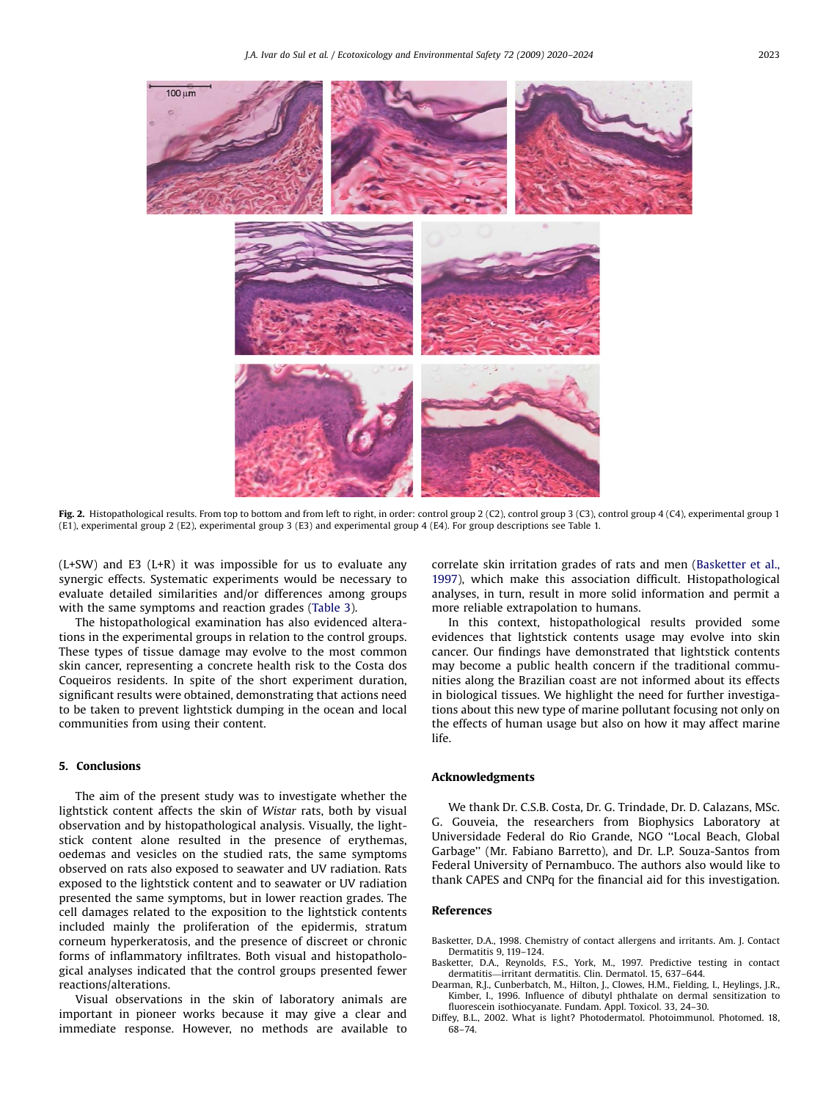<span id="page-3-0"></span>

Fig. 2. Histopathological results. From top to bottom and from left to right, in order: control group 2 (C2), control group 3 (C3), control group 4 (C4), experimental group 1 (E1), experimental group 2 (E2), experimental group 3 (E3) and experimental group 4 (E4). For group descriptions see [Table 1.](#page-1-0)

 $(L+SW)$  and E3  $(L+R)$  it was impossible for us to evaluate any synergic effects. Systematic experiments would be necessary to evaluate detailed similarities and/or differences among groups with the same symptoms and reaction grades [\(Table 3](#page-2-0)).

The histopathological examination has also evidenced alterations in the experimental groups in relation to the control groups. These types of tissue damage may evolve to the most common skin cancer, representing a concrete health risk to the Costa dos Coqueiros residents. In spite of the short experiment duration, significant results were obtained, demonstrating that actions need to be taken to prevent lightstick dumping in the ocean and local communities from using their content.

# 5. Conclusions

The aim of the present study was to investigate whether the lightstick content affects the skin of Wistar rats, both by visual observation and by histopathological analysis. Visually, the lightstick content alone resulted in the presence of erythemas, oedemas and vesicles on the studied rats, the same symptoms observed on rats also exposed to seawater and UV radiation. Rats exposed to the lightstick content and to seawater or UV radiation presented the same symptoms, but in lower reaction grades. The cell damages related to the exposition to the lightstick contents included mainly the proliferation of the epidermis, stratum corneum hyperkeratosis, and the presence of discreet or chronic forms of inflammatory infiltrates. Both visual and histopathological analyses indicated that the control groups presented fewer reactions/alterations.

Visual observations in the skin of laboratory animals are important in pioneer works because it may give a clear and immediate response. However, no methods are available to correlate skin irritation grades of rats and men (Basketter et al., 1997), which make this association difficult. Histopathological analyses, in turn, result in more solid information and permit a more reliable extrapolation to humans.

In this context, histopathological results provided some evidences that lightstick contents usage may evolve into skin cancer. Our findings have demonstrated that lightstick contents may become a public health concern if the traditional communities along the Brazilian coast are not informed about its effects in biological tissues. We highlight the need for further investigations about this new type of marine pollutant focusing not only on the effects of human usage but also on how it may affect marine life.

## Acknowledgments

We thank Dr. C.S.B. Costa, Dr. G. Trindade, Dr. D. Calazans, MSc. G. Gouveia, the researchers from Biophysics Laboratory at Universidade Federal do Rio Grande, NGO ''Local Beach, Global Garbage'' (Mr. Fabiano Barretto), and Dr. L.P. Souza-Santos from Federal University of Pernambuco. The authors also would like to thank CAPES and CNPq for the financial aid for this investigation.

## References

- Basketter, D.A., 1998. Chemistry of contact allergens and irritants. Am. J. Contact Dermatitis 9, 119–124.
- Basketter, D.A., Reynolds, F.S., York, M., 1997. Predictive testing in contact dermatitis—irritant dermatitis. Clin. Dermatol. 15, 637–644.
- Dearman, R.J., Cunberbatch, M., Hilton, J., Clowes, H.M., Fielding, I., Heylings, J.R., Kimber, I., 1996. Influence of dibutyl phthalate on dermal sensitization to fluorescein isothiocyanate. Fundam. Appl. Toxicol. 33, 24–30.
- Diffey, B.L., 2002. What is light? Photodermatol. Photoimmunol. Photomed. 18, 68–74.